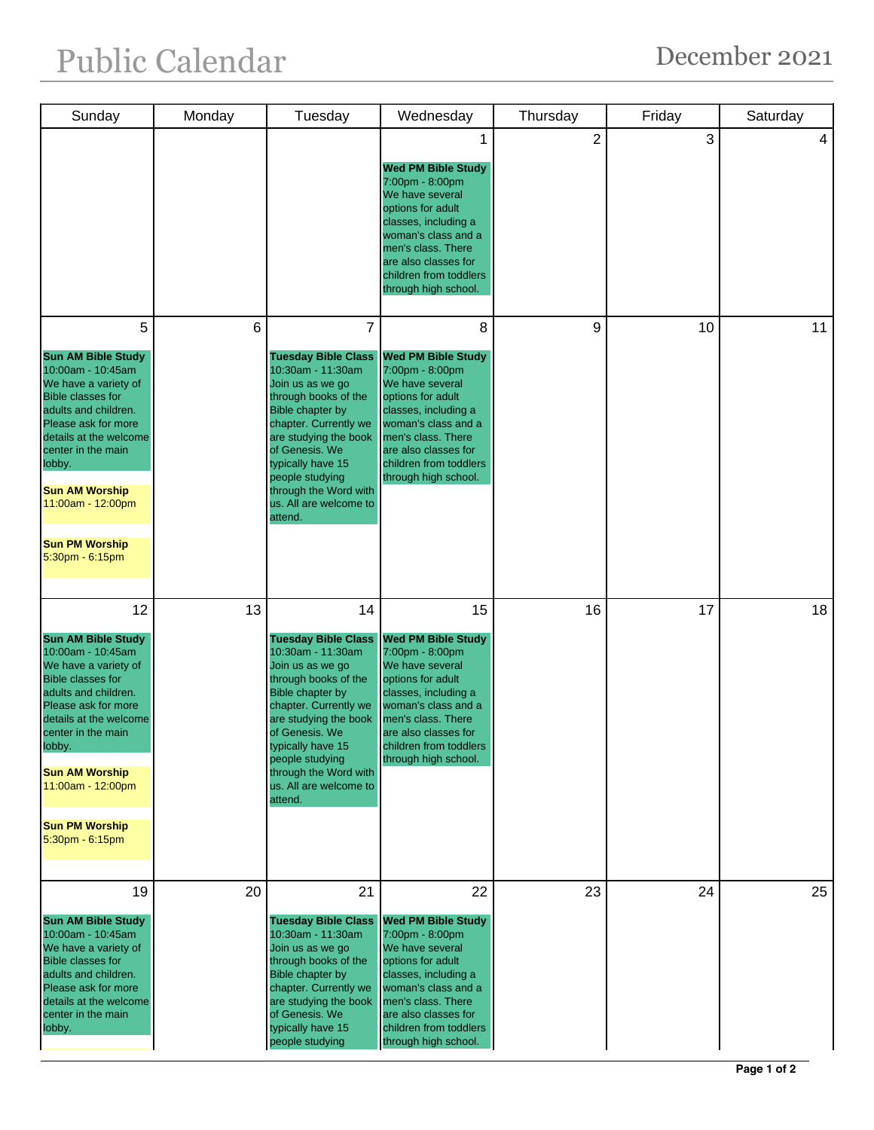| Sunday                                                                                                                                                                                                                                                                                                      | Monday | Tuesday                                                                                                                                                                                                                                                                                                | Wednesday                                                                                                                                                                                                                                 | Thursday       | Friday | Saturday |
|-------------------------------------------------------------------------------------------------------------------------------------------------------------------------------------------------------------------------------------------------------------------------------------------------------------|--------|--------------------------------------------------------------------------------------------------------------------------------------------------------------------------------------------------------------------------------------------------------------------------------------------------------|-------------------------------------------------------------------------------------------------------------------------------------------------------------------------------------------------------------------------------------------|----------------|--------|----------|
|                                                                                                                                                                                                                                                                                                             |        |                                                                                                                                                                                                                                                                                                        | <b>Wed PM Bible Study</b><br>7:00pm - 8:00pm<br>We have several<br>options for adult<br>classes, including a<br>woman's class and a<br>men's class. There<br>are also classes for<br>children from toddlers<br>through high school.       | $\overline{2}$ | 3      | 4        |
| 5<br><b>Sun AM Bible Study</b><br>10:00am - 10:45am<br>We have a variety of<br><b>Bible classes for</b><br>adults and children.<br>Please ask for more<br>details at the welcome<br>center in the main<br>lobby.<br><b>Sun AM Worship</b><br>11:00am - 12:00pm<br><b>Sun PM Worship</b><br>5:30pm - 6:15pm  | 6      | 7<br><b>Tuesday Bible Class</b><br>10:30am - 11:30am<br>Join us as we go<br>through books of the<br><b>Bible chapter by</b><br>chapter. Currently we<br>are studying the book<br>of Genesis. We<br>typically have 15<br>people studying<br>through the Word with<br>us. All are welcome to<br>attend.  | 8<br><b>Wed PM Bible Study</b><br>7:00pm - 8:00pm<br>We have several<br>options for adult<br>classes, including a<br>woman's class and a<br>men's class. There<br>are also classes for<br>children from toddlers<br>through high school.  | 9              | 10     | 11       |
| 12<br><b>Sun AM Bible Study</b><br>10:00am - 10:45am<br>We have a variety of<br><b>Bible classes for</b><br>adults and children.<br>Please ask for more<br>details at the welcome<br>center in the main<br>lobby.<br><b>Sun AM Worship</b><br>11:00am - 12:00pm<br><b>Sun PM Worship</b><br>5:30pm - 6:15pm | 13     | 14<br><b>Tuesday Bible Class</b><br>10:30am - 11:30am<br>Join us as we go<br>through books of the<br><b>Bible chapter by</b><br>chapter. Currently we<br>are studying the book<br>of Genesis. We<br>typically have 15<br>people studying<br>through the Word with<br>us. All are welcome to<br>attend. | 15<br><b>Wed PM Bible Study</b><br>7:00pm - 8:00pm<br>We have several<br>options for adult<br>classes, including a<br>woman's class and a<br>men's class. There<br>are also classes for<br>children from toddlers<br>through high school. | 16             | 17     | 18       |
| 19<br><b>Sun AM Bible Study</b><br>10:00am - 10:45am<br>We have a variety of<br><b>Bible classes for</b><br>adults and children.<br>Please ask for more<br>details at the welcome<br>center in the main<br>lobby.                                                                                           | 20     | 21<br><b>Tuesday Bible Class</b><br>10:30am - 11:30am<br>Join us as we go<br>through books of the<br>Bible chapter by<br>chapter. Currently we<br>are studying the book<br>of Genesis. We<br>typically have 15<br>people studying                                                                      | 22<br><b>Wed PM Bible Study</b><br>7:00pm - 8:00pm<br>We have several<br>options for adult<br>classes, including a<br>woman's class and a<br>men's class. There<br>are also classes for<br>children from toddlers<br>through high school. | 23             | 24     | 25       |